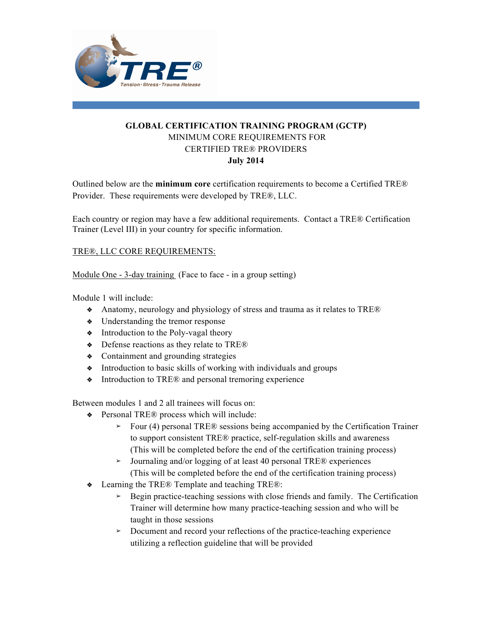

## **GLOBAL CERTIFICATION TRAINING PROGRAM (GCTP)** MINIMUM CORE REQUIREMENTS FOR CERTIFIED TRE® PROVIDERS **July 2014**

Outlined below are the **minimum core** certification requirements to become a Certified TRE® Provider. These requirements were developed by TRE®, LLC.

Each country or region may have a few additional requirements. Contact a TRE® Certification Trainer (Level III) in your country for specific information.

## TRE®, LLC CORE REQUIREMENTS:

Module One - 3-day training (Face to face - in a group setting)

Module 1 will include:

- **❖** Anatomy, neurology and physiology of stress and trauma as it relates to TRE®
- **❖** Understanding the tremor response
- **❖** Introduction to the Poly-vagal theory
- **❖** Defense reactions as they relate to TRE®
- **❖** Containment and grounding strategies
- **❖** Introduction to basic skills of working with individuals and groups
- **❖** Introduction to TRE® and personal tremoring experience

Between modules 1 and 2 all trainees will focus on:

- **❖** Personal TRE® process which will include:
	- **➢** Four (4) personal TRE® sessions being accompanied by the Certification Trainer to support consistent TRE® practice, self-regulation skills and awareness (This will be completed before the end of the certification training process)
	- **➢** Journaling and/or logging of at least 40 personal TRE® experiences (This will be completed before the end of the certification training process)
- **❖** Learning the TRE® Template and teaching TRE®:
	- **➢** Begin practice-teaching sessions with close friends and family. The Certification Trainer will determine how many practice-teaching session and who will be taught in those sessions
	- **➢** Document and record your reflections of the practice-teaching experience utilizing a reflection guideline that will be provided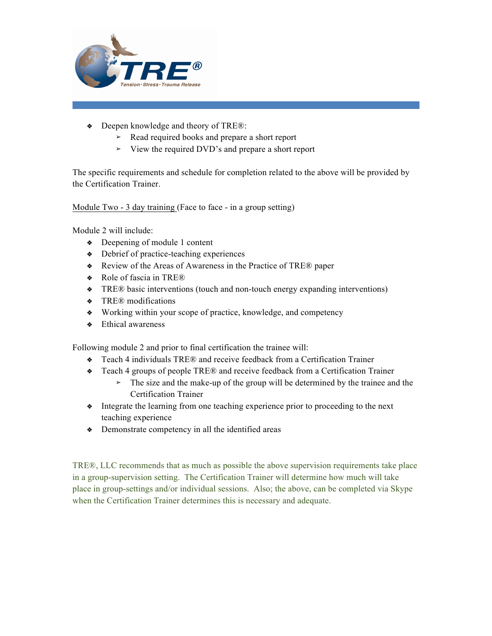

- **❖** Deepen knowledge and theory of TRE®:
	- **➢** Read required books and prepare a short report
	- **➢** View the required DVD's and prepare a short report

The specific requirements and schedule for completion related to the above will be provided by the Certification Trainer.

Module Two - 3 day training (Face to face - in a group setting)

Module 2 will include:

- **❖** Deepening of module 1 content
- **❖** Debrief of practice-teaching experiences
- **❖** Review of the Areas of Awareness in the Practice of TRE® paper
- **❖** Role of fascia in TRE®
- **❖** TRE® basic interventions (touch and non-touch energy expanding interventions)
- **❖** TRE® modifications
- **❖** Working within your scope of practice, knowledge, and competency
- **❖** Ethical awareness

Following module 2 and prior to final certification the trainee will:

- **❖** Teach 4 individuals TRE® and receive feedback from a Certification Trainer
- **❖** Teach 4 groups of people TRE® and receive feedback from a Certification Trainer
	- **➢** The size and the make-up of the group will be determined by the trainee and the Certification Trainer
- **❖** Integrate the learning from one teaching experience prior to proceeding to the next teaching experience
- **❖** Demonstrate competency in all the identified areas

TRE®, LLC recommends that as much as possible the above supervision requirements take place in a group-supervision setting. The Certification Trainer will determine how much will take place in group-settings and/or individual sessions. Also; the above, can be completed via Skype when the Certification Trainer determines this is necessary and adequate.